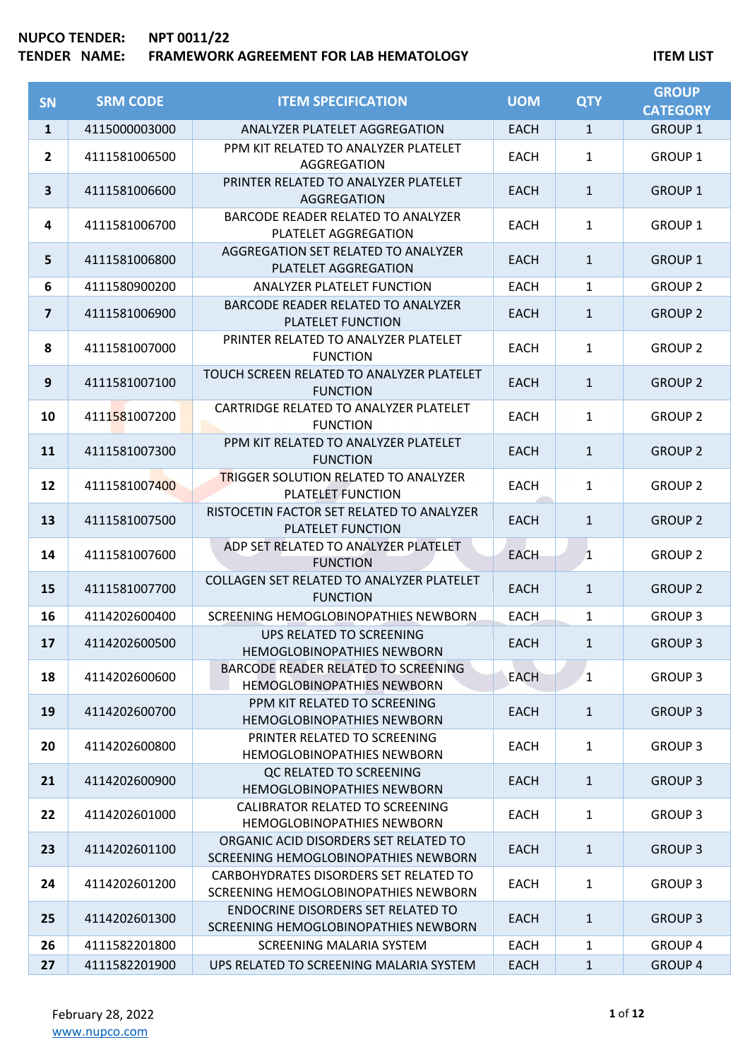## **NUPCO TENDER: NPT 0011/22 TENDER NAME: FRAMEWORK AGREEMENT FOR LAB HEMATOLOGY ITEM LIST**

| <b>SN</b>    | <b>SRM CODE</b> | <b>ITEM SPECIFICATION</b>                                                         | <b>UOM</b>  | <b>QTY</b>   | <b>GROUP</b><br><b>CATEGORY</b> |
|--------------|-----------------|-----------------------------------------------------------------------------------|-------------|--------------|---------------------------------|
| $\mathbf{1}$ | 4115000003000   | ANALYZER PLATELET AGGREGATION                                                     | <b>EACH</b> | $\mathbf{1}$ | <b>GROUP 1</b>                  |
| $\mathbf{2}$ | 4111581006500   | PPM KIT RELATED TO ANALYZER PLATELET<br>AGGREGATION                               | <b>EACH</b> | $\mathbf{1}$ | <b>GROUP 1</b>                  |
| 3            | 4111581006600   | PRINTER RELATED TO ANALYZER PLATELET<br>AGGREGATION                               | <b>EACH</b> | $\mathbf{1}$ | <b>GROUP 1</b>                  |
| 4            | 4111581006700   | BARCODE READER RELATED TO ANALYZER<br>PLATELET AGGREGATION                        | <b>EACH</b> | $\mathbf{1}$ | <b>GROUP 1</b>                  |
| 5            | 4111581006800   | AGGREGATION SET RELATED TO ANALYZER<br>PLATELET AGGREGATION                       | <b>EACH</b> | $\mathbf{1}$ | <b>GROUP 1</b>                  |
| 6            | 4111580900200   | ANALYZER PLATELET FUNCTION                                                        | <b>EACH</b> | $\mathbf{1}$ | <b>GROUP 2</b>                  |
| 7            | 4111581006900   | BARCODE READER RELATED TO ANALYZER<br>PLATELET FUNCTION                           | <b>EACH</b> | $\mathbf{1}$ | <b>GROUP 2</b>                  |
| 8            | 4111581007000   | PRINTER RELATED TO ANALYZER PLATELET<br><b>FUNCTION</b>                           | <b>EACH</b> | $\mathbf{1}$ | <b>GROUP 2</b>                  |
| 9            | 4111581007100   | TOUCH SCREEN RELATED TO ANALYZER PLATELET<br><b>FUNCTION</b>                      | <b>EACH</b> | $\mathbf{1}$ | <b>GROUP 2</b>                  |
| 10           | 4111581007200   | CARTRIDGE RELATED TO ANALYZER PLATELET<br><b>FUNCTION</b>                         | <b>EACH</b> | $\mathbf{1}$ | <b>GROUP 2</b>                  |
| 11           | 4111581007300   | PPM KIT RELATED TO ANALYZER PLATELET<br><b>FUNCTION</b>                           | <b>EACH</b> | $\mathbf{1}$ | <b>GROUP 2</b>                  |
| 12           | 4111581007400   | <b>TRIGGER SOLUTION RELATED TO ANALYZER</b><br>PLATELET FUNCTION                  | <b>EACH</b> | $\mathbf{1}$ | <b>GROUP 2</b>                  |
| 13           | 4111581007500   | RISTOCETIN FACTOR SET RELATED TO ANALYZER<br>PLATELET FUNCTION                    | <b>EACH</b> | $\mathbf{1}$ | <b>GROUP 2</b>                  |
| 14           | 4111581007600   | ADP SET RELATED TO ANALYZER PLATELET<br><b>FUNCTION</b>                           | <b>EACH</b> | $\mathbf{1}$ | <b>GROUP 2</b>                  |
| 15           | 4111581007700   | COLLAGEN SET RELATED TO ANALYZER PLATELET<br><b>FUNCTION</b>                      | <b>EACH</b> | $\mathbf{1}$ | <b>GROUP 2</b>                  |
| 16           | 4114202600400   | SCREENING HEMOGLOBINOPATHIES NEWBORN                                              | <b>EACH</b> | $\mathbf{1}$ | <b>GROUP 3</b>                  |
| 17           | 4114202600500   | UPS RELATED TO SCREENING<br>HEMOGLOBINOPATHIES NEWBORN                            | <b>EACH</b> | $\mathbf{1}$ | <b>GROUP 3</b>                  |
| 18           | 4114202600600   | BARCODE READER RELATED TO SCREENING<br><b>HEMOGLOBINOPATHIES NEWBORN</b>          | <b>EACH</b> | $\mathbf{1}$ | <b>GROUP 3</b>                  |
| 19           | 4114202600700   | PPM KIT RELATED TO SCREENING<br><b>HEMOGLOBINOPATHIES NEWBORN</b>                 | <b>EACH</b> | $\mathbf{1}$ | <b>GROUP 3</b>                  |
| 20           | 4114202600800   | PRINTER RELATED TO SCREENING<br><b>HEMOGLOBINOPATHIES NEWBORN</b>                 | <b>EACH</b> | $\mathbf{1}$ | <b>GROUP 3</b>                  |
| 21           | 4114202600900   | QC RELATED TO SCREENING<br><b>HEMOGLOBINOPATHIES NEWBORN</b>                      | EACH        | $\mathbf{1}$ | <b>GROUP 3</b>                  |
| 22           | 4114202601000   | CALIBRATOR RELATED TO SCREENING<br><b>HEMOGLOBINOPATHIES NEWBORN</b>              | <b>EACH</b> | $\mathbf{1}$ | <b>GROUP 3</b>                  |
| 23           | 4114202601100   | ORGANIC ACID DISORDERS SET RELATED TO<br>SCREENING HEMOGLOBINOPATHIES NEWBORN     | EACH        | $\mathbf{1}$ | <b>GROUP 3</b>                  |
| 24           | 4114202601200   | CARBOHYDRATES DISORDERS SET RELATED TO<br>SCREENING HEMOGLOBINOPATHIES NEWBORN    | <b>EACH</b> | $\mathbf{1}$ | <b>GROUP 3</b>                  |
| 25           | 4114202601300   | <b>ENDOCRINE DISORDERS SET RELATED TO</b><br>SCREENING HEMOGLOBINOPATHIES NEWBORN | EACH        | $\mathbf{1}$ | <b>GROUP 3</b>                  |
| 26           | 4111582201800   | SCREENING MALARIA SYSTEM                                                          | <b>EACH</b> | $\mathbf{1}$ | <b>GROUP 4</b>                  |
| 27           | 4111582201900   | UPS RELATED TO SCREENING MALARIA SYSTEM                                           | <b>EACH</b> | $\mathbf{1}$ | <b>GROUP 4</b>                  |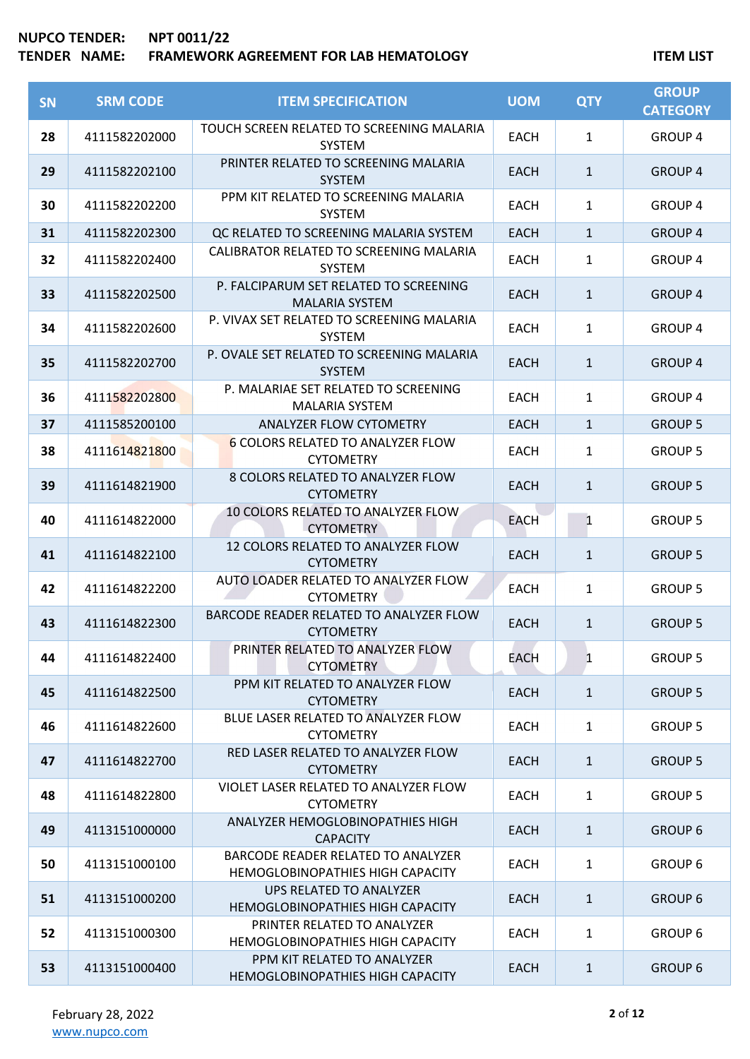| <b>SN</b> | <b>SRM CODE</b> | <b>ITEM SPECIFICATION</b>                                                     | <b>UOM</b>  | <b>QTY</b>   | <b>GROUP</b><br><b>CATEGORY</b> |
|-----------|-----------------|-------------------------------------------------------------------------------|-------------|--------------|---------------------------------|
| 28        | 4111582202000   | TOUCH SCREEN RELATED TO SCREENING MALARIA<br><b>SYSTEM</b>                    | <b>EACH</b> | $\mathbf{1}$ | <b>GROUP 4</b>                  |
| 29        | 4111582202100   | PRINTER RELATED TO SCREENING MALARIA<br><b>SYSTEM</b>                         | <b>EACH</b> | $\mathbf{1}$ | <b>GROUP 4</b>                  |
| 30        | 4111582202200   | PPM KIT RELATED TO SCREENING MALARIA<br><b>SYSTEM</b>                         | <b>EACH</b> | $\mathbf{1}$ | <b>GROUP 4</b>                  |
| 31        | 4111582202300   | QC RELATED TO SCREENING MALARIA SYSTEM                                        | <b>EACH</b> | $\mathbf{1}$ | <b>GROUP 4</b>                  |
| 32        | 4111582202400   | CALIBRATOR RELATED TO SCREENING MALARIA<br><b>SYSTEM</b>                      | <b>EACH</b> | 1            | <b>GROUP 4</b>                  |
| 33        | 4111582202500   | P. FALCIPARUM SET RELATED TO SCREENING<br><b>MALARIA SYSTEM</b>               | <b>EACH</b> | $\mathbf{1}$ | <b>GROUP 4</b>                  |
| 34        | 4111582202600   | P. VIVAX SET RELATED TO SCREENING MALARIA<br><b>SYSTEM</b>                    | <b>EACH</b> | $\mathbf{1}$ | <b>GROUP 4</b>                  |
| 35        | 4111582202700   | P. OVALE SET RELATED TO SCREENING MALARIA<br><b>SYSTEM</b>                    | <b>EACH</b> | $\mathbf{1}$ | <b>GROUP 4</b>                  |
| 36        | 4111582202800   | P. MALARIAE SET RELATED TO SCREENING<br><b>MALARIA SYSTEM</b>                 | <b>EACH</b> | $\mathbf{1}$ | <b>GROUP 4</b>                  |
| 37        | 4111585200100   | ANALYZER FLOW CYTOMETRY                                                       | <b>EACH</b> | $\mathbf{1}$ | <b>GROUP 5</b>                  |
| 38        | 4111614821800   | 6 COLORS RELATED TO ANALYZER FLOW<br><b>CYTOMETRY</b>                         | <b>EACH</b> | $\mathbf{1}$ | <b>GROUP 5</b>                  |
| 39        | 4111614821900   | 8 COLORS RELATED TO ANALYZER FLOW<br><b>CYTOMETRY</b>                         | <b>EACH</b> | $\mathbf{1}$ | <b>GROUP 5</b>                  |
| 40        | 4111614822000   | 10 COLORS RELATED TO ANALYZER FLOW<br><b>CYTOMETRY</b>                        | <b>EACH</b> | $\mathbf{1}$ | <b>GROUP 5</b>                  |
| 41        | 4111614822100   | 12 COLORS RELATED TO ANALYZER FLOW<br><b>CYTOMETRY</b>                        | <b>EACH</b> | $\mathbf{1}$ | <b>GROUP 5</b>                  |
| 42        | 4111614822200   | AUTO LOADER RELATED TO ANALYZER FLOW<br><b>CYTOMETRY</b>                      | <b>EACH</b> | $\mathbf{1}$ | <b>GROUP 5</b>                  |
| 43        | 4111614822300   | BARCODE READER RELATED TO ANALYZER FLOW<br><b>CYTOMETRY</b>                   | <b>EACH</b> | $\mathbf{1}$ | <b>GROUP 5</b>                  |
| 44        | 4111614822400   | PRINTER RELATED TO ANALYZER FLOW<br><b>CYTOMETRY</b>                          | EACH        | $\mathbf{1}$ | <b>GROUP 5</b>                  |
| 45        | 4111614822500   | PPM KIT RELATED TO ANALYZER FLOW<br><b>CYTOMETRY</b>                          | <b>EACH</b> | $\mathbf{1}$ | <b>GROUP 5</b>                  |
| 46        | 4111614822600   | BLUE LASER RELATED TO ANALYZER FLOW<br><b>CYTOMETRY</b>                       | <b>EACH</b> | 1            | <b>GROUP 5</b>                  |
| 47        | 4111614822700   | RED LASER RELATED TO ANALYZER FLOW<br><b>CYTOMETRY</b>                        | <b>EACH</b> | $\mathbf{1}$ | <b>GROUP 5</b>                  |
| 48        | 4111614822800   | VIOLET LASER RELATED TO ANALYZER FLOW<br><b>CYTOMETRY</b>                     | <b>EACH</b> | $\mathbf{1}$ | <b>GROUP 5</b>                  |
| 49        | 4113151000000   | ANALYZER HEMOGLOBINOPATHIES HIGH<br><b>CAPACITY</b>                           | <b>EACH</b> | $\mathbf{1}$ | <b>GROUP 6</b>                  |
| 50        | 4113151000100   | BARCODE READER RELATED TO ANALYZER<br><b>HEMOGLOBINOPATHIES HIGH CAPACITY</b> | <b>EACH</b> | $\mathbf{1}$ | <b>GROUP 6</b>                  |
| 51        | 4113151000200   | UPS RELATED TO ANALYZER<br>HEMOGLOBINOPATHIES HIGH CAPACITY                   | EACH        | $\mathbf{1}$ | <b>GROUP 6</b>                  |
| 52        | 4113151000300   | PRINTER RELATED TO ANALYZER<br><b>HEMOGLOBINOPATHIES HIGH CAPACITY</b>        | <b>EACH</b> | $\mathbf{1}$ | <b>GROUP 6</b>                  |
| 53        | 4113151000400   | PPM KIT RELATED TO ANALYZER<br>HEMOGLOBINOPATHIES HIGH CAPACITY               | <b>EACH</b> | $\mathbf{1}$ | <b>GROUP 6</b>                  |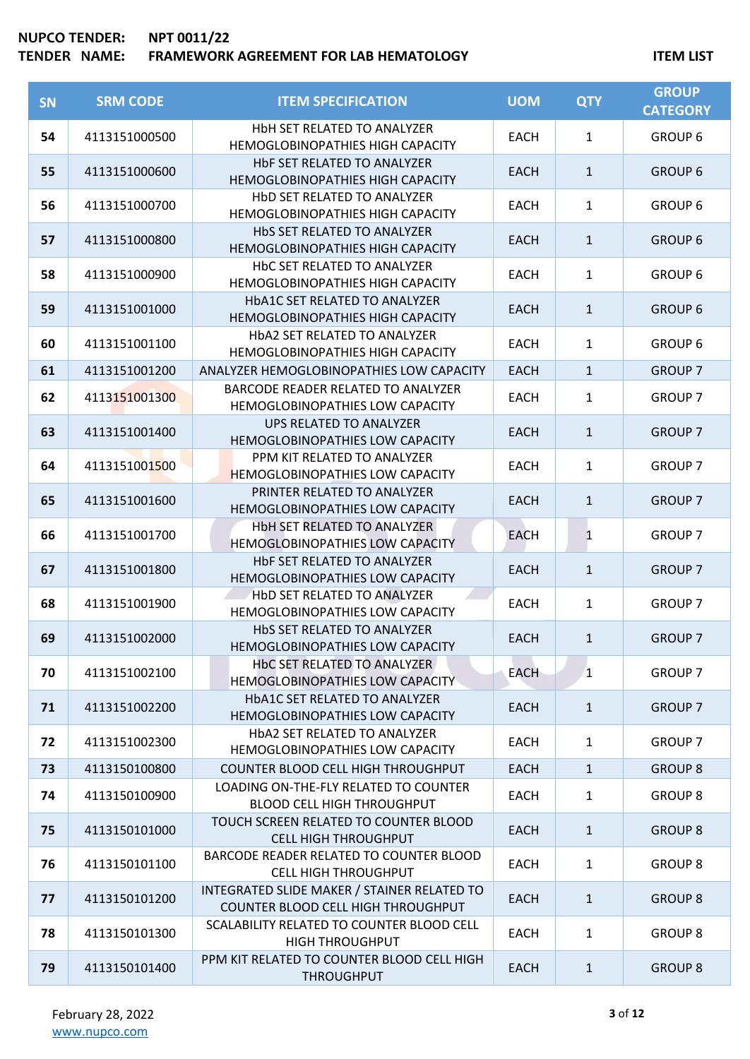| SN | <b>SRM CODE</b> | <b>ITEM SPECIFICATION</b>                                                         | <b>UOM</b>  | <b>QTY</b>   | <b>GROUP</b><br><b>CATEGORY</b> |
|----|-----------------|-----------------------------------------------------------------------------------|-------------|--------------|---------------------------------|
| 54 | 4113151000500   | HbH SET RELATED TO ANALYZER<br>HEMOGLOBINOPATHIES HIGH CAPACITY                   | EACH        | $\mathbf{1}$ | <b>GROUP 6</b>                  |
| 55 | 4113151000600   | HbF SET RELATED TO ANALYZER<br>HEMOGLOBINOPATHIES HIGH CAPACITY                   | <b>EACH</b> | $\mathbf{1}$ | <b>GROUP 6</b>                  |
| 56 | 4113151000700   | HbD SET RELATED TO ANALYZER<br>HEMOGLOBINOPATHIES HIGH CAPACITY                   | <b>EACH</b> | $\mathbf{1}$ | <b>GROUP 6</b>                  |
| 57 | 4113151000800   | HbS SET RELATED TO ANALYZER<br>HEMOGLOBINOPATHIES HIGH CAPACITY                   | <b>EACH</b> | $\mathbf{1}$ | <b>GROUP 6</b>                  |
| 58 | 4113151000900   | HbC SET RELATED TO ANALYZER<br>HEMOGLOBINOPATHIES HIGH CAPACITY                   | EACH        | $\mathbf{1}$ | <b>GROUP 6</b>                  |
| 59 | 4113151001000   | HbA1C SET RELATED TO ANALYZER<br>HEMOGLOBINOPATHIES HIGH CAPACITY                 | <b>EACH</b> | $\mathbf{1}$ | <b>GROUP 6</b>                  |
| 60 | 4113151001100   | HbA2 SET RELATED TO ANALYZER<br>HEMOGLOBINOPATHIES HIGH CAPACITY                  | <b>EACH</b> | $\mathbf{1}$ | <b>GROUP 6</b>                  |
| 61 | 4113151001200   | ANALYZER HEMOGLOBINOPATHIES LOW CAPACITY                                          | <b>EACH</b> | $\mathbf{1}$ | <b>GROUP 7</b>                  |
| 62 | 4113151001300   | BARCODE READER RELATED TO ANALYZER<br>HEMOGLOBINOPATHIES LOW CAPACITY             | <b>EACH</b> | $\mathbf{1}$ | <b>GROUP 7</b>                  |
| 63 | 4113151001400   | UPS RELATED TO ANALYZER<br>HEMOGLOBINOPATHIES LOW CAPACITY                        | <b>EACH</b> | $\mathbf{1}$ | <b>GROUP 7</b>                  |
| 64 | 4113151001500   | PPM KIT RELATED TO ANALYZER<br><b>HEMOGLOBINOPATHIES LOW CAPACITY</b>             | <b>EACH</b> | $\mathbf{1}$ | <b>GROUP 7</b>                  |
| 65 | 4113151001600   | PRINTER RELATED TO ANALYZER<br>HEMOGLOBINOPATHIES LOW CAPACITY                    | <b>EACH</b> | $\mathbf{1}$ | <b>GROUP 7</b>                  |
| 66 | 4113151001700   | HbH SET RELATED TO ANALYZER<br>HEMOGLOBINOPATHIES LOW CAPACITY                    | <b>EACH</b> | $\mathbf{1}$ | <b>GROUP 7</b>                  |
| 67 | 4113151001800   | HbF SET RELATED TO ANALYZER<br>HEMOGLOBINOPATHIES LOW CAPACITY                    | <b>EACH</b> | $\mathbf{1}$ | <b>GROUP 7</b>                  |
| 68 | 4113151001900   | HbD SET RELATED TO ANALYZER<br>HEMOGLOBINOPATHIES LOW CAPACITY                    | <b>EACH</b> | $\mathbf{1}$ | <b>GROUP 7</b>                  |
| 69 | 4113151002000   | HbS SET RELATED TO ANALYZER<br>HEMOGLOBINOPATHIES LOW CAPACITY                    | <b>EACH</b> | $\mathbf{1}$ | <b>GROUP 7</b>                  |
| 70 | 4113151002100   | HbC SET RELATED TO ANALYZER<br>HEMOGLOBINOPATHIES LOW CAPACITY                    | <b>EACH</b> | 1            | <b>GROUP 7</b>                  |
| 71 | 4113151002200   | HbA1C SET RELATED TO ANALYZER<br>HEMOGLOBINOPATHIES LOW CAPACITY                  | <b>EACH</b> | $\mathbf{1}$ | <b>GROUP 7</b>                  |
| 72 | 4113151002300   | HbA2 SET RELATED TO ANALYZER<br>HEMOGLOBINOPATHIES LOW CAPACITY                   | <b>EACH</b> | $\mathbf{1}$ | <b>GROUP 7</b>                  |
| 73 | 4113150100800   | COUNTER BLOOD CELL HIGH THROUGHPUT                                                | <b>EACH</b> | $\mathbf{1}$ | <b>GROUP 8</b>                  |
| 74 | 4113150100900   | LOADING ON-THE-FLY RELATED TO COUNTER<br><b>BLOOD CELL HIGH THROUGHPUT</b>        | <b>EACH</b> | $\mathbf{1}$ | <b>GROUP 8</b>                  |
| 75 | 4113150101000   | TOUCH SCREEN RELATED TO COUNTER BLOOD<br><b>CELL HIGH THROUGHPUT</b>              | <b>EACH</b> | $\mathbf{1}$ | <b>GROUP 8</b>                  |
| 76 | 4113150101100   | BARCODE READER RELATED TO COUNTER BLOOD<br><b>CELL HIGH THROUGHPUT</b>            | <b>EACH</b> | $\mathbf{1}$ | <b>GROUP 8</b>                  |
| 77 | 4113150101200   | INTEGRATED SLIDE MAKER / STAINER RELATED TO<br>COUNTER BLOOD CELL HIGH THROUGHPUT | <b>EACH</b> | $\mathbf{1}$ | <b>GROUP 8</b>                  |
| 78 | 4113150101300   | SCALABILITY RELATED TO COUNTER BLOOD CELL<br><b>HIGH THROUGHPUT</b>               | <b>EACH</b> | $\mathbf{1}$ | <b>GROUP 8</b>                  |
| 79 | 4113150101400   | PPM KIT RELATED TO COUNTER BLOOD CELL HIGH<br><b>THROUGHPUT</b>                   | <b>EACH</b> | $\mathbf{1}$ | <b>GROUP 8</b>                  |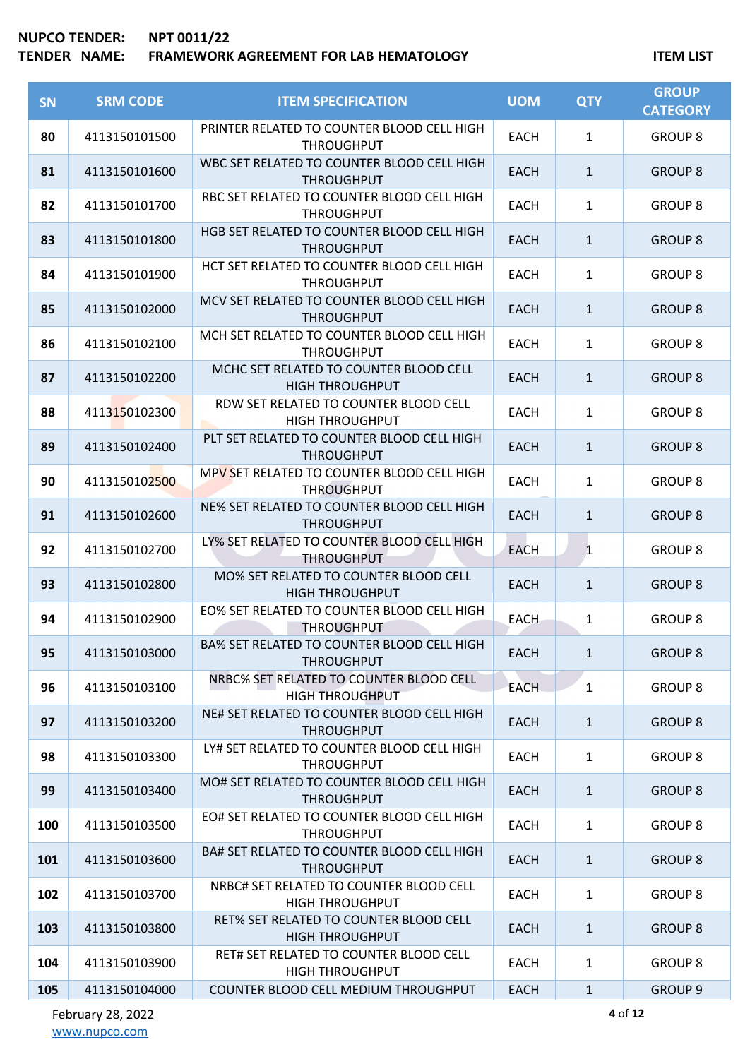## **TENDER NAME: FRAMEWORK AGREEMENT FOR LAB HEMATOLOGY ITEM LIST**

| <b>SN</b> | <b>SRM CODE</b> | <b>ITEM SPECIFICATION</b>                                         | <b>UOM</b>  | <b>QTY</b>   | <b>GROUP</b><br><b>CATEGORY</b> |
|-----------|-----------------|-------------------------------------------------------------------|-------------|--------------|---------------------------------|
| 80        | 4113150101500   | PRINTER RELATED TO COUNTER BLOOD CELL HIGH<br><b>THROUGHPUT</b>   | <b>EACH</b> | $\mathbf{1}$ | <b>GROUP 8</b>                  |
| 81        | 4113150101600   | WBC SET RELATED TO COUNTER BLOOD CELL HIGH<br><b>THROUGHPUT</b>   | <b>EACH</b> | $\mathbf{1}$ | <b>GROUP 8</b>                  |
| 82        | 4113150101700   | RBC SET RELATED TO COUNTER BLOOD CELL HIGH<br><b>THROUGHPUT</b>   | <b>EACH</b> | $\mathbf{1}$ | <b>GROUP 8</b>                  |
| 83        | 4113150101800   | HGB SET RELATED TO COUNTER BLOOD CELL HIGH<br><b>THROUGHPUT</b>   | <b>EACH</b> | $\mathbf{1}$ | <b>GROUP 8</b>                  |
| 84        | 4113150101900   | HCT SET RELATED TO COUNTER BLOOD CELL HIGH<br><b>THROUGHPUT</b>   | <b>EACH</b> | $\mathbf{1}$ | <b>GROUP 8</b>                  |
| 85        | 4113150102000   | MCV SET RELATED TO COUNTER BLOOD CELL HIGH<br><b>THROUGHPUT</b>   | <b>EACH</b> | $\mathbf{1}$ | <b>GROUP 8</b>                  |
| 86        | 4113150102100   | MCH SET RELATED TO COUNTER BLOOD CELL HIGH<br><b>THROUGHPUT</b>   | <b>EACH</b> | $\mathbf{1}$ | <b>GROUP 8</b>                  |
| 87        | 4113150102200   | MCHC SET RELATED TO COUNTER BLOOD CELL<br><b>HIGH THROUGHPUT</b>  | <b>EACH</b> | $\mathbf{1}$ | <b>GROUP 8</b>                  |
| 88        | 4113150102300   | RDW SET RELATED TO COUNTER BLOOD CELL<br><b>HIGH THROUGHPUT</b>   | <b>EACH</b> | $\mathbf{1}$ | <b>GROUP 8</b>                  |
| 89        | 4113150102400   | PLT SET RELATED TO COUNTER BLOOD CELL HIGH<br><b>THROUGHPUT</b>   | <b>EACH</b> | $\mathbf{1}$ | <b>GROUP 8</b>                  |
| 90        | 4113150102500   | MPV SET RELATED TO COUNTER BLOOD CELL HIGH<br><b>THROUGHPUT</b>   | <b>EACH</b> | $\mathbf{1}$ | <b>GROUP 8</b>                  |
| 91        | 4113150102600   | NE% SET RELATED TO COUNTER BLOOD CELL HIGH<br><b>THROUGHPUT</b>   | <b>EACH</b> | $\mathbf{1}$ | <b>GROUP 8</b>                  |
| 92        | 4113150102700   | LY% SET RELATED TO COUNTER BLOOD CELL HIGH<br><b>THROUGHPUT</b>   | <b>EACH</b> | 1            | <b>GROUP 8</b>                  |
| 93        | 4113150102800   | MO% SET RELATED TO COUNTER BLOOD CELL<br><b>HIGH THROUGHPUT</b>   | <b>EACH</b> | $\mathbf{1}$ | <b>GROUP 8</b>                  |
| 94        | 4113150102900   | EO% SET RELATED TO COUNTER BLOOD CELL HIGH<br><b>THROUGHPUT</b>   | <b>EACH</b> | $\mathbf{1}$ | <b>GROUP 8</b>                  |
| 95        | 4113150103000   | BA% SET RELATED TO COUNTER BLOOD CELL HIGH<br><b>THROUGHPUT</b>   | <b>EACH</b> | $\mathbf{1}$ | <b>GROUP 8</b>                  |
| 96        | 4113150103100   | NRBC% SET RELATED TO COUNTER BLOOD CELL<br><b>HIGH THROUGHPUT</b> | <b>EACH</b> | $\mathbf{1}$ | <b>GROUP 8</b>                  |
| 97        | 4113150103200   | NE# SET RELATED TO COUNTER BLOOD CELL HIGH<br><b>THROUGHPUT</b>   | <b>EACH</b> | $\mathbf{1}$ | <b>GROUP 8</b>                  |
| 98        | 4113150103300   | LY# SET RELATED TO COUNTER BLOOD CELL HIGH<br><b>THROUGHPUT</b>   | <b>EACH</b> | $\mathbf{1}$ | <b>GROUP 8</b>                  |
| 99        | 4113150103400   | MO# SET RELATED TO COUNTER BLOOD CELL HIGH<br><b>THROUGHPUT</b>   | <b>EACH</b> | $\mathbf{1}$ | <b>GROUP 8</b>                  |
| 100       | 4113150103500   | EO# SET RELATED TO COUNTER BLOOD CELL HIGH<br><b>THROUGHPUT</b>   | <b>EACH</b> | $\mathbf{1}$ | <b>GROUP 8</b>                  |
| 101       | 4113150103600   | BA# SET RELATED TO COUNTER BLOOD CELL HIGH<br><b>THROUGHPUT</b>   | <b>EACH</b> | $\mathbf{1}$ | <b>GROUP 8</b>                  |
| 102       | 4113150103700   | NRBC# SET RELATED TO COUNTER BLOOD CELL<br><b>HIGH THROUGHPUT</b> | <b>EACH</b> | $\mathbf{1}$ | <b>GROUP 8</b>                  |
| 103       | 4113150103800   | RET% SET RELATED TO COUNTER BLOOD CELL<br><b>HIGH THROUGHPUT</b>  | <b>EACH</b> | $\mathbf{1}$ | <b>GROUP 8</b>                  |
| 104       | 4113150103900   | RET# SET RELATED TO COUNTER BLOOD CELL<br><b>HIGH THROUGHPUT</b>  | <b>EACH</b> | $\mathbf{1}$ | <b>GROUP 8</b>                  |
| 105       | 4113150104000   | COUNTER BLOOD CELL MEDIUM THROUGHPUT                              | <b>EACH</b> | $\mathbf{1}$ | <b>GROUP 9</b>                  |

February 28, 2022 [www.nupco.com](http://www.nupco.com/)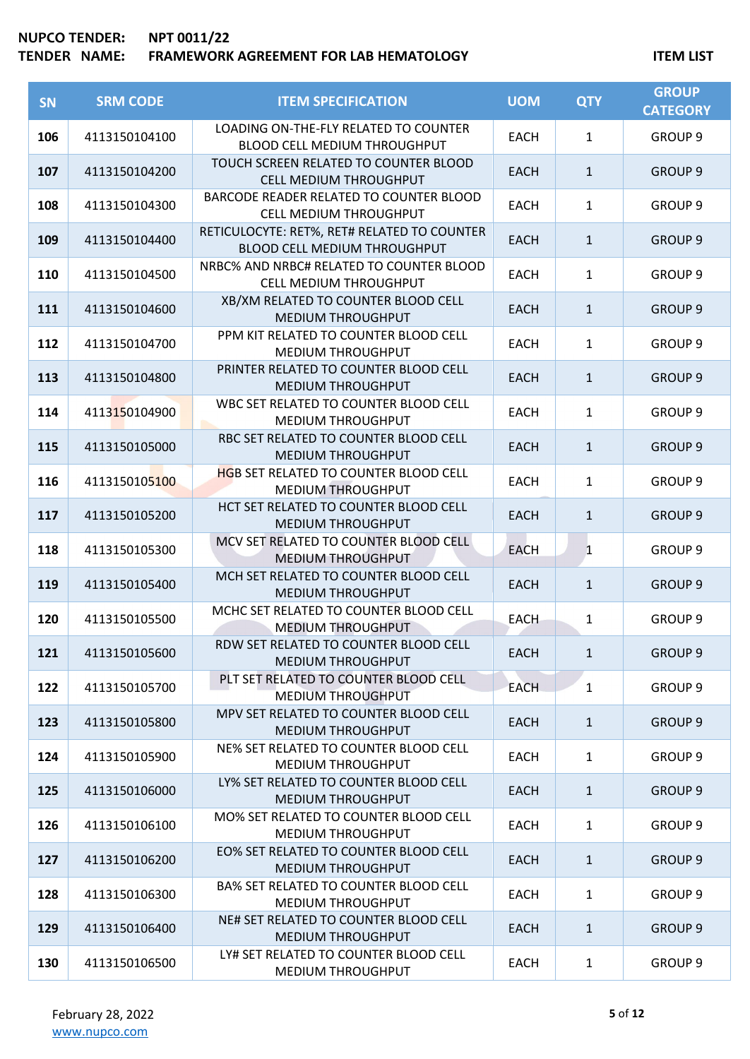| SN  | <b>SRM CODE</b> | <b>ITEM SPECIFICATION</b>                                                          | <b>UOM</b>  | <b>QTY</b>   | <b>GROUP</b><br><b>CATEGORY</b> |
|-----|-----------------|------------------------------------------------------------------------------------|-------------|--------------|---------------------------------|
| 106 | 4113150104100   | LOADING ON-THE-FLY RELATED TO COUNTER<br>BLOOD CELL MEDIUM THROUGHPUT              | <b>EACH</b> | $\mathbf{1}$ | GROUP <sub>9</sub>              |
| 107 | 4113150104200   | TOUCH SCREEN RELATED TO COUNTER BLOOD<br>CELL MEDIUM THROUGHPUT                    | <b>EACH</b> | $\mathbf{1}$ | <b>GROUP 9</b>                  |
| 108 | 4113150104300   | BARCODE READER RELATED TO COUNTER BLOOD<br>CELL MEDIUM THROUGHPUT                  | <b>EACH</b> | $\mathbf{1}$ | GROUP <sub>9</sub>              |
| 109 | 4113150104400   | RETICULOCYTE: RET%, RET# RELATED TO COUNTER<br><b>BLOOD CELL MEDIUM THROUGHPUT</b> | <b>EACH</b> | $\mathbf{1}$ | <b>GROUP 9</b>                  |
| 110 | 4113150104500   | NRBC% AND NRBC# RELATED TO COUNTER BLOOD<br>CELL MEDIUM THROUGHPUT                 | <b>EACH</b> | $\mathbf{1}$ | <b>GROUP 9</b>                  |
| 111 | 4113150104600   | XB/XM RELATED TO COUNTER BLOOD CELL<br><b>MEDIUM THROUGHPUT</b>                    | <b>EACH</b> | $\mathbf{1}$ | <b>GROUP 9</b>                  |
| 112 | 4113150104700   | PPM KIT RELATED TO COUNTER BLOOD CELL<br>MEDIUM THROUGHPUT                         | <b>EACH</b> | $\mathbf{1}$ | GROUP <sub>9</sub>              |
| 113 | 4113150104800   | PRINTER RELATED TO COUNTER BLOOD CELL<br><b>MEDIUM THROUGHPUT</b>                  | <b>EACH</b> | $\mathbf{1}$ | <b>GROUP 9</b>                  |
| 114 | 4113150104900   | WBC SET RELATED TO COUNTER BLOOD CELL<br>MEDIUM THROUGHPUT                         | <b>EACH</b> | $\mathbf{1}$ | GROUP <sub>9</sub>              |
| 115 | 4113150105000   | RBC SET RELATED TO COUNTER BLOOD CELL<br><b>MEDIUM THROUGHPUT</b>                  | <b>EACH</b> | $\mathbf{1}$ | <b>GROUP 9</b>                  |
| 116 | 4113150105100   | <b>HGB SET RELATED TO COUNTER BLOOD CELL</b><br><b>MEDIUM THROUGHPUT</b>           | <b>EACH</b> | $\mathbf{1}$ | GROUP <sub>9</sub>              |
| 117 | 4113150105200   | HCT SET RELATED TO COUNTER BLOOD CELL<br>MEDIUM THROUGHPUT                         | <b>EACH</b> | $\mathbf{1}$ | <b>GROUP 9</b>                  |
| 118 | 4113150105300   | MCV SET RELATED TO COUNTER BLOOD CELL<br><b>MEDIUM THROUGHPUT</b>                  | <b>EACH</b> | $\mathbf{1}$ | GROUP <sub>9</sub>              |
| 119 | 4113150105400   | MCH SET RELATED TO COUNTER BLOOD CELL<br><b>MEDIUM THROUGHPUT</b>                  | <b>EACH</b> | $\mathbf{1}$ | <b>GROUP 9</b>                  |
| 120 | 4113150105500   | MCHC SET RELATED TO COUNTER BLOOD CELL<br><b>MEDIUM THROUGHPUT</b>                 | <b>EACH</b> | $\mathbf{1}$ | GROUP <sub>9</sub>              |
| 121 | 4113150105600   | RDW SET RELATED TO COUNTER BLOOD CELL<br><b>MEDIUM THROUGHPUT</b>                  | <b>EACH</b> | $\mathbf{1}$ | <b>GROUP 9</b>                  |
| 122 | 4113150105700   | PLT SET RELATED TO COUNTER BLOOD CELL<br><b>MEDIUM THROUGHPUT</b>                  | <b>EACH</b> | $\mathbf{1}$ | GROUP <sub>9</sub>              |
| 123 | 4113150105800   | MPV SET RELATED TO COUNTER BLOOD CELL<br><b>MEDIUM THROUGHPUT</b>                  | <b>EACH</b> | $\mathbf{1}$ | <b>GROUP 9</b>                  |
| 124 | 4113150105900   | NE% SET RELATED TO COUNTER BLOOD CELL<br><b>MEDIUM THROUGHPUT</b>                  | <b>EACH</b> | $\mathbf{1}$ | GROUP <sub>9</sub>              |
| 125 | 4113150106000   | LY% SET RELATED TO COUNTER BLOOD CELL<br><b>MEDIUM THROUGHPUT</b>                  | <b>EACH</b> | $\mathbf{1}$ | <b>GROUP 9</b>                  |
| 126 | 4113150106100   | MO% SET RELATED TO COUNTER BLOOD CELL<br>MEDIUM THROUGHPUT                         | <b>EACH</b> | $\mathbf{1}$ | <b>GROUP 9</b>                  |
| 127 | 4113150106200   | EO% SET RELATED TO COUNTER BLOOD CELL<br><b>MEDIUM THROUGHPUT</b>                  | <b>EACH</b> | $\mathbf{1}$ | <b>GROUP 9</b>                  |
| 128 | 4113150106300   | <b>BA% SET RELATED TO COUNTER BLOOD CELL</b><br><b>MEDIUM THROUGHPUT</b>           | <b>EACH</b> | $\mathbf{1}$ | <b>GROUP 9</b>                  |
| 129 | 4113150106400   | NE# SET RELATED TO COUNTER BLOOD CELL<br><b>MEDIUM THROUGHPUT</b>                  | EACH        | $\mathbf{1}$ | <b>GROUP 9</b>                  |
| 130 | 4113150106500   | LY# SET RELATED TO COUNTER BLOOD CELL<br>MEDIUM THROUGHPUT                         | <b>EACH</b> | $\mathbf{1}$ | GROUP 9                         |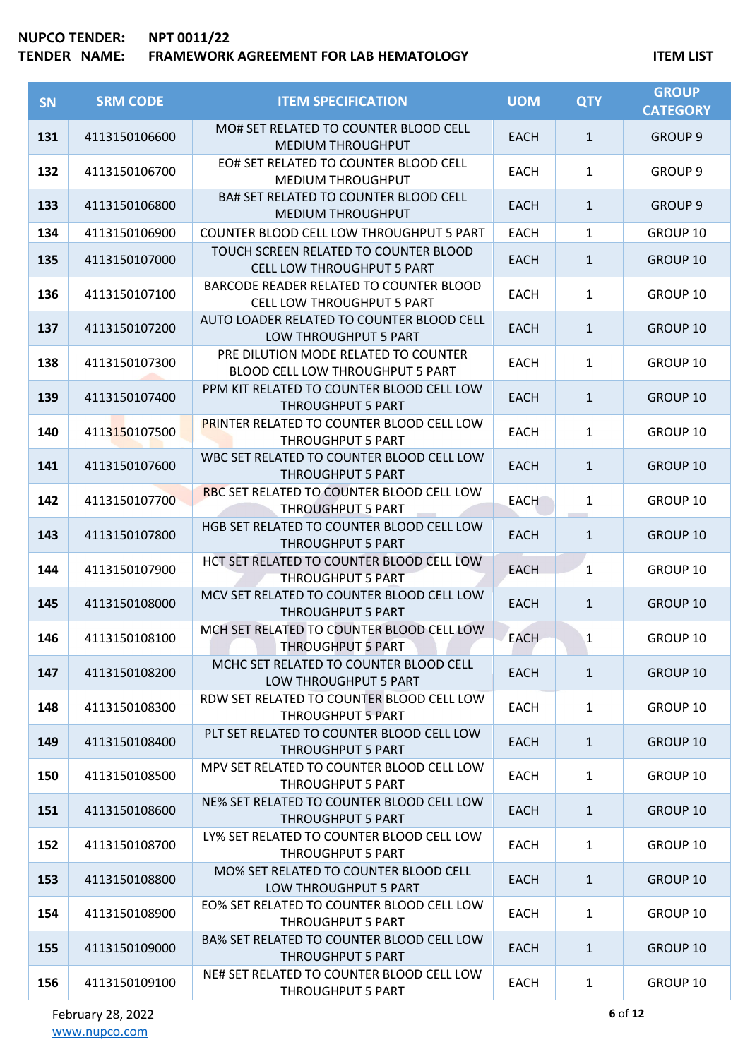| <b>SN</b> | <b>SRM CODE</b> | <b>ITEM SPECIFICATION</b>                                                    | <b>UOM</b>  | <b>QTY</b>   | <b>GROUP</b><br><b>CATEGORY</b> |
|-----------|-----------------|------------------------------------------------------------------------------|-------------|--------------|---------------------------------|
| 131       | 4113150106600   | MO# SET RELATED TO COUNTER BLOOD CELL<br><b>MEDIUM THROUGHPUT</b>            | <b>EACH</b> | $\mathbf{1}$ | <b>GROUP 9</b>                  |
| 132       | 4113150106700   | EO# SET RELATED TO COUNTER BLOOD CELL<br><b>MEDIUM THROUGHPUT</b>            | <b>EACH</b> | $\mathbf{1}$ | GROUP <sub>9</sub>              |
| 133       | 4113150106800   | BA# SET RELATED TO COUNTER BLOOD CELL<br><b>MEDIUM THROUGHPUT</b>            | <b>EACH</b> | $\mathbf{1}$ | <b>GROUP 9</b>                  |
| 134       | 4113150106900   | <b>COUNTER BLOOD CELL LOW THROUGHPUT 5 PART</b>                              | <b>EACH</b> | 1            | GROUP 10                        |
| 135       | 4113150107000   | TOUCH SCREEN RELATED TO COUNTER BLOOD<br><b>CELL LOW THROUGHPUT 5 PART</b>   | <b>EACH</b> | $\mathbf{1}$ | <b>GROUP 10</b>                 |
| 136       | 4113150107100   | BARCODE READER RELATED TO COUNTER BLOOD<br><b>CELL LOW THROUGHPUT 5 PART</b> | <b>EACH</b> | $\mathbf{1}$ | GROUP 10                        |
| 137       | 4113150107200   | AUTO LOADER RELATED TO COUNTER BLOOD CELL<br>LOW THROUGHPUT 5 PART           | <b>EACH</b> | $\mathbf{1}$ | GROUP 10                        |
| 138       | 4113150107300   | PRE DILUTION MODE RELATED TO COUNTER<br>BLOOD CELL LOW THROUGHPUT 5 PART     | <b>EACH</b> | $\mathbf{1}$ | GROUP 10                        |
| 139       | 4113150107400   | PPM KIT RELATED TO COUNTER BLOOD CELL LOW<br><b>THROUGHPUT 5 PART</b>        | <b>EACH</b> | $\mathbf{1}$ | GROUP 10                        |
| 140       | 4113150107500   | PRINTER RELATED TO COUNTER BLOOD CELL LOW<br><b>THROUGHPUT 5 PART</b>        | <b>EACH</b> | $\mathbf{1}$ | GROUP 10                        |
| 141       | 4113150107600   | WBC SET RELATED TO COUNTER BLOOD CELL LOW<br><b>THROUGHPUT 5 PART</b>        | <b>EACH</b> | $\mathbf{1}$ | GROUP 10                        |
| 142       | 4113150107700   | RBC SET RELATED TO COUNTER BLOOD CELL LOW<br><b>THROUGHPUT 5 PART</b>        | <b>EACH</b> | 1            | GROUP 10                        |
| 143       | 4113150107800   | HGB SET RELATED TO COUNTER BLOOD CELL LOW<br><b>THROUGHPUT 5 PART</b>        | <b>EACH</b> | $\mathbf{1}$ | GROUP 10                        |
| 144       | 4113150107900   | HCT SET RELATED TO COUNTER BLOOD CELL LOW<br><b>THROUGHPUT 5 PART</b>        | <b>EACH</b> | $\mathbf{1}$ | GROUP 10                        |
| 145       | 4113150108000   | MCV SET RELATED TO COUNTER BLOOD CELL LOW<br><b>THROUGHPUT 5 PART</b>        | <b>EACH</b> | $\mathbf{1}$ | GROUP 10                        |
| 146       | 4113150108100   | MCH SET RELATED TO COUNTER BLOOD CELL LOW<br>THROUGHPUT 5 PART               | <b>EACH</b> | 1            | GROUP 10                        |
| 147       | 4113150108200   | MCHC SET RELATED TO COUNTER BLOOD CELL<br>LOW THROUGHPUT 5 PART              | <b>EACH</b> | $\mathbf{1}$ | GROUP 10                        |
| 148       | 4113150108300   | RDW SET RELATED TO COUNTER BLOOD CELL LOW<br><b>THROUGHPUT 5 PART</b>        | <b>EACH</b> | $\mathbf{1}$ | GROUP 10                        |
| 149       | 4113150108400   | PLT SET RELATED TO COUNTER BLOOD CELL LOW<br><b>THROUGHPUT 5 PART</b>        | EACH        | $\mathbf{1}$ | GROUP 10                        |
| 150       | 4113150108500   | MPV SET RELATED TO COUNTER BLOOD CELL LOW<br><b>THROUGHPUT 5 PART</b>        | <b>EACH</b> | $\mathbf{1}$ | GROUP 10                        |
| 151       | 4113150108600   | NE% SET RELATED TO COUNTER BLOOD CELL LOW<br><b>THROUGHPUT 5 PART</b>        | <b>EACH</b> | $\mathbf{1}$ | GROUP 10                        |
| 152       | 4113150108700   | LY% SET RELATED TO COUNTER BLOOD CELL LOW<br>THROUGHPUT 5 PART               | <b>EACH</b> | $\mathbf{1}$ | GROUP 10                        |
| 153       | 4113150108800   | MO% SET RELATED TO COUNTER BLOOD CELL<br>LOW THROUGHPUT 5 PART               | EACH        | $\mathbf{1}$ | GROUP 10                        |
| 154       | 4113150108900   | EO% SET RELATED TO COUNTER BLOOD CELL LOW<br>THROUGHPUT 5 PART               | EACH        | $\mathbf{1}$ | GROUP 10                        |
| 155       | 4113150109000   | BA% SET RELATED TO COUNTER BLOOD CELL LOW<br><b>THROUGHPUT 5 PART</b>        | <b>EACH</b> | $\mathbf{1}$ | GROUP 10                        |
| 156       | 4113150109100   | NE# SET RELATED TO COUNTER BLOOD CELL LOW<br>THROUGHPUT 5 PART               | EACH        | $\mathbf{1}$ | GROUP 10                        |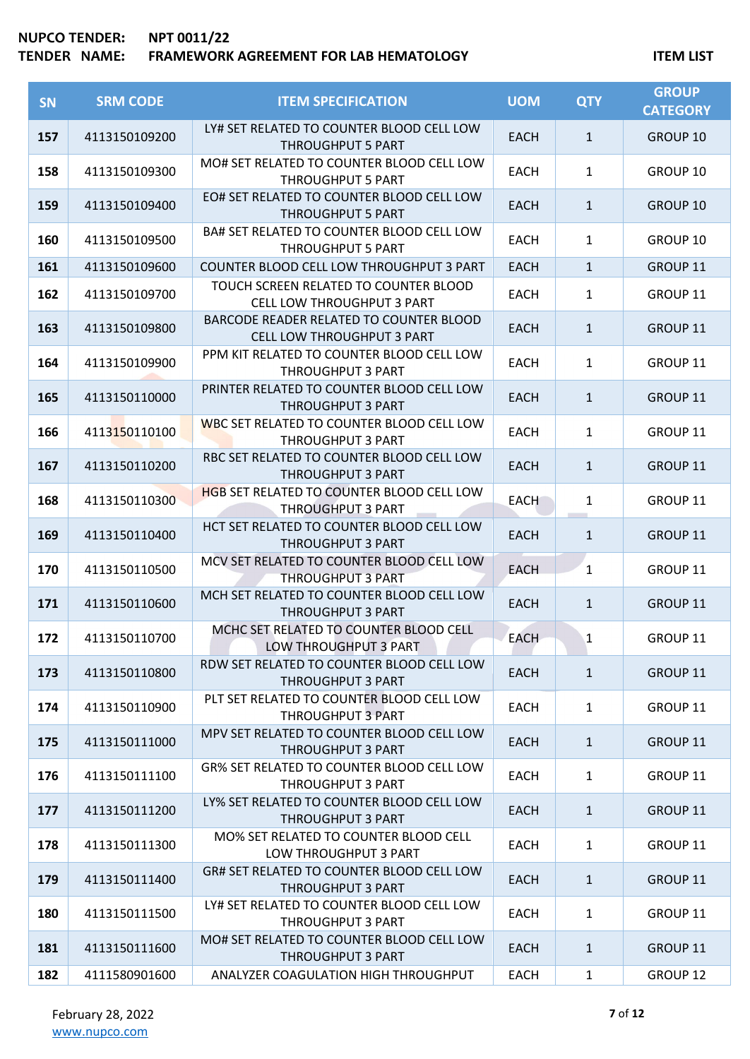| SN  | <b>SRM CODE</b> | <b>ITEM SPECIFICATION</b>                                                    | <b>UOM</b>  | <b>QTY</b>   | <b>GROUP</b><br><b>CATEGORY</b> |
|-----|-----------------|------------------------------------------------------------------------------|-------------|--------------|---------------------------------|
| 157 | 4113150109200   | LY# SET RELATED TO COUNTER BLOOD CELL LOW<br><b>THROUGHPUT 5 PART</b>        | EACH        | $\mathbf{1}$ | GROUP 10                        |
| 158 | 4113150109300   | MO# SET RELATED TO COUNTER BLOOD CELL LOW<br><b>THROUGHPUT 5 PART</b>        | <b>EACH</b> | $\mathbf{1}$ | GROUP 10                        |
| 159 | 4113150109400   | EO# SET RELATED TO COUNTER BLOOD CELL LOW<br><b>THROUGHPUT 5 PART</b>        | <b>EACH</b> | $\mathbf{1}$ | GROUP 10                        |
| 160 | 4113150109500   | BA# SET RELATED TO COUNTER BLOOD CELL LOW<br>THROUGHPUT 5 PART               | EACH        | $\mathbf{1}$ | GROUP 10                        |
| 161 | 4113150109600   | COUNTER BLOOD CELL LOW THROUGHPUT 3 PART                                     | <b>EACH</b> | $\mathbf{1}$ | GROUP 11                        |
| 162 | 4113150109700   | TOUCH SCREEN RELATED TO COUNTER BLOOD<br>CELL LOW THROUGHPUT 3 PART          | <b>EACH</b> | $\mathbf{1}$ | GROUP 11                        |
| 163 | 4113150109800   | BARCODE READER RELATED TO COUNTER BLOOD<br><b>CELL LOW THROUGHPUT 3 PART</b> | EACH        | $\mathbf{1}$ | GROUP 11                        |
| 164 | 4113150109900   | PPM KIT RELATED TO COUNTER BLOOD CELL LOW<br>THROUGHPUT 3 PART               | EACH        | $\mathbf{1}$ | GROUP 11                        |
| 165 | 4113150110000   | PRINTER RELATED TO COUNTER BLOOD CELL LOW<br><b>THROUGHPUT 3 PART</b>        | <b>EACH</b> | $\mathbf{1}$ | <b>GROUP 11</b>                 |
| 166 | 4113150110100   | WBC SET RELATED TO COUNTER BLOOD CELL LOW<br><b>THROUGHPUT 3 PART</b>        | <b>EACH</b> | $\mathbf{1}$ | GROUP 11                        |
| 167 | 4113150110200   | RBC SET RELATED TO COUNTER BLOOD CELL LOW<br><b>THROUGHPUT 3 PART</b>        | EACH        | $\mathbf{1}$ | GROUP 11                        |
| 168 | 4113150110300   | <b>HGB SET RELATED TO COUNTER BLOOD CELL LOW</b><br><b>THROUGHPUT 3 PART</b> | <b>EACH</b> | $\mathbf{1}$ | GROUP 11                        |
| 169 | 4113150110400   | HCT SET RELATED TO COUNTER BLOOD CELL LOW<br><b>THROUGHPUT 3 PART</b>        | <b>EACH</b> | $\mathbf{1}$ | GROUP 11                        |
| 170 | 4113150110500   | MCV SET RELATED TO COUNTER BLOOD CELL LOW<br><b>THROUGHPUT 3 PART</b>        | <b>EACH</b> | $\mathbf{1}$ | GROUP 11                        |
| 171 | 4113150110600   | MCH SET RELATED TO COUNTER BLOOD CELL LOW<br><b>THROUGHPUT 3 PART</b>        | <b>EACH</b> | $\mathbf{1}$ | GROUP 11                        |
| 172 | 4113150110700   | MCHC SET RELATED TO COUNTER BLOOD CELL<br>LOW THROUGHPUT 3 PART              | <b>EACH</b> | $\mathbf{1}$ | GROUP 11                        |
| 173 | 4113150110800   | RDW SET RELATED TO COUNTER BLOOD CELL LOW<br><b>THROUGHPUT 3 PART</b>        | <b>EACH</b> | $\mathbf{1}$ | GROUP 11                        |
| 174 | 4113150110900   | PLT SET RELATED TO COUNTER BLOOD CELL LOW<br><b>THROUGHPUT 3 PART</b>        | <b>EACH</b> | $\mathbf{1}$ | GROUP 11                        |
| 175 | 4113150111000   | MPV SET RELATED TO COUNTER BLOOD CELL LOW<br><b>THROUGHPUT 3 PART</b>        | <b>EACH</b> | $\mathbf{1}$ | GROUP 11                        |
| 176 | 4113150111100   | <b>GR% SET RELATED TO COUNTER BLOOD CELL LOW</b><br>THROUGHPUT 3 PART        | EACH        | $\mathbf{1}$ | GROUP 11                        |
| 177 | 4113150111200   | LY% SET RELATED TO COUNTER BLOOD CELL LOW<br><b>THROUGHPUT 3 PART</b>        | <b>EACH</b> | $\mathbf{1}$ | GROUP 11                        |
| 178 | 4113150111300   | MO% SET RELATED TO COUNTER BLOOD CELL<br>LOW THROUGHPUT 3 PART               | <b>EACH</b> | $\mathbf{1}$ | GROUP 11                        |
| 179 | 4113150111400   | GR# SET RELATED TO COUNTER BLOOD CELL LOW<br><b>THROUGHPUT 3 PART</b>        | EACH        | $\mathbf{1}$ | GROUP 11                        |
| 180 | 4113150111500   | LY# SET RELATED TO COUNTER BLOOD CELL LOW<br>THROUGHPUT 3 PART               | EACH        | $\mathbf{1}$ | GROUP 11                        |
| 181 | 4113150111600   | MO# SET RELATED TO COUNTER BLOOD CELL LOW<br>THROUGHPUT 3 PART               | <b>EACH</b> | $\mathbf{1}$ | GROUP 11                        |
| 182 | 4111580901600   | ANALYZER COAGULATION HIGH THROUGHPUT                                         | <b>EACH</b> | $\mathbf{1}$ | GROUP 12                        |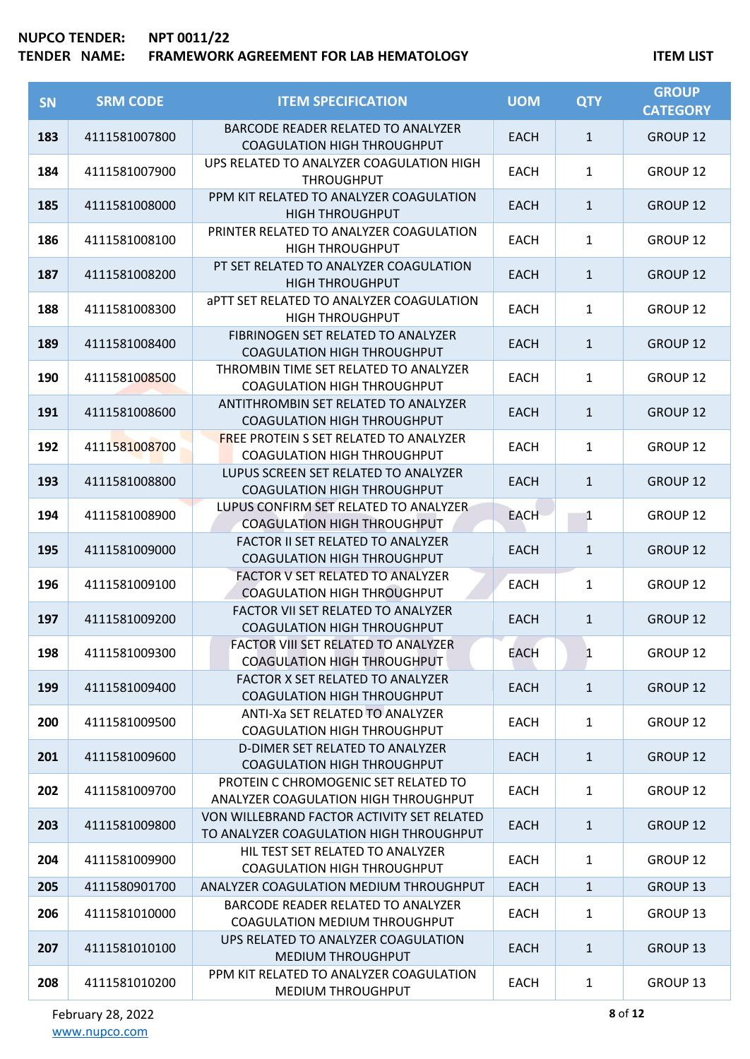| <b>SN</b> | <b>SRM CODE</b> | <b>ITEM SPECIFICATION</b>                                                             | <b>UOM</b>  | <b>QTY</b>   | <b>GROUP</b><br><b>CATEGORY</b> |
|-----------|-----------------|---------------------------------------------------------------------------------------|-------------|--------------|---------------------------------|
| 183       | 4111581007800   | <b>BARCODE READER RELATED TO ANALYZER</b><br><b>COAGULATION HIGH THROUGHPUT</b>       | <b>EACH</b> | $\mathbf{1}$ | GROUP 12                        |
| 184       | 4111581007900   | UPS RELATED TO ANALYZER COAGULATION HIGH<br><b>THROUGHPUT</b>                         | <b>EACH</b> | 1            | <b>GROUP 12</b>                 |
| 185       | 4111581008000   | PPM KIT RELATED TO ANALYZER COAGULATION<br><b>HIGH THROUGHPUT</b>                     | <b>EACH</b> | $\mathbf{1}$ | <b>GROUP 12</b>                 |
| 186       | 4111581008100   | PRINTER RELATED TO ANALYZER COAGULATION<br><b>HIGH THROUGHPUT</b>                     | <b>EACH</b> | $\mathbf{1}$ | GROUP 12                        |
| 187       | 4111581008200   | PT SET RELATED TO ANALYZER COAGULATION<br><b>HIGH THROUGHPUT</b>                      | <b>EACH</b> | $\mathbf{1}$ | <b>GROUP 12</b>                 |
| 188       | 4111581008300   | <b>aPTT SET RELATED TO ANALYZER COAGULATION</b><br><b>HIGH THROUGHPUT</b>             | <b>EACH</b> | 1            | GROUP 12                        |
| 189       | 4111581008400   | FIBRINOGEN SET RELATED TO ANALYZER<br><b>COAGULATION HIGH THROUGHPUT</b>              | <b>EACH</b> | $\mathbf{1}$ | <b>GROUP 12</b>                 |
| 190       | 4111581008500   | THROMBIN TIME SET RELATED TO ANALYZER<br><b>COAGULATION HIGH THROUGHPUT</b>           | <b>EACH</b> | $\mathbf{1}$ | <b>GROUP 12</b>                 |
| 191       | 4111581008600   | ANTITHROMBIN SET RELATED TO ANALYZER<br><b>COAGULATION HIGH THROUGHPUT</b>            | <b>EACH</b> | $\mathbf{1}$ | <b>GROUP 12</b>                 |
| 192       | 4111581008700   | <b>FREE PROTEIN S SET RELATED TO ANALYZER</b><br><b>COAGULATION HIGH THROUGHPUT</b>   | <b>EACH</b> | $\mathbf{1}$ | <b>GROUP 12</b>                 |
| 193       | 4111581008800   | LUPUS SCREEN SET RELATED TO ANALYZER<br><b>COAGULATION HIGH THROUGHPUT</b>            | <b>EACH</b> | $\mathbf{1}$ | <b>GROUP 12</b>                 |
| 194       | 4111581008900   | LUPUS CONFIRM SET RELATED TO ANALYZER<br><b>COAGULATION HIGH THROUGHPUT</b>           | <b>EACH</b> | 1            | <b>GROUP 12</b>                 |
| 195       | 4111581009000   | <b>FACTOR II SET RELATED TO ANALYZER</b><br><b>COAGULATION HIGH THROUGHPUT</b>        | <b>EACH</b> | $\mathbf{1}$ | GROUP 12                        |
| 196       | 4111581009100   | <b>FACTOR V SET RELATED TO ANALYZER</b><br><b>COAGULATION HIGH THROUGHPUT</b>         | <b>EACH</b> | 1            | <b>GROUP 12</b>                 |
| 197       | 4111581009200   | FACTOR VII SET RELATED TO ANALYZER<br><b>COAGULATION HIGH THROUGHPUT</b>              | <b>EACH</b> | $\mathbf{1}$ | GROUP <sub>12</sub>             |
| 198       | 4111581009300   | FACTOR VIII SET RELATED TO ANALYZER<br><b>COAGULATION HIGH THROUGHPUT</b>             | EACH        | $\mathbf{1}$ | GROUP 12                        |
| 199       | 4111581009400   | <b>FACTOR X SET RELATED TO ANALYZER</b><br><b>COAGULATION HIGH THROUGHPUT</b>         | <b>EACH</b> | $\mathbf{1}$ | <b>GROUP 12</b>                 |
| 200       | 4111581009500   | ANTI-Xa SET RELATED TO ANALYZER<br><b>COAGULATION HIGH THROUGHPUT</b>                 | <b>EACH</b> | $\mathbf{1}$ | GROUP 12                        |
| 201       | 4111581009600   | D-DIMER SET RELATED TO ANALYZER<br><b>COAGULATION HIGH THROUGHPUT</b>                 | <b>EACH</b> | $\mathbf{1}$ | <b>GROUP 12</b>                 |
| 202       | 4111581009700   | PROTEIN C CHROMOGENIC SET RELATED TO<br>ANALYZER COAGULATION HIGH THROUGHPUT          | <b>EACH</b> | $\mathbf{1}$ | GROUP 12                        |
| 203       | 4111581009800   | VON WILLEBRAND FACTOR ACTIVITY SET RELATED<br>TO ANALYZER COAGULATION HIGH THROUGHPUT | <b>EACH</b> | $\mathbf{1}$ | <b>GROUP 12</b>                 |
| 204       | 4111581009900   | HIL TEST SET RELATED TO ANALYZER<br><b>COAGULATION HIGH THROUGHPUT</b>                | <b>EACH</b> | $\mathbf{1}$ | GROUP 12                        |
| 205       | 4111580901700   | ANALYZER COAGULATION MEDIUM THROUGHPUT                                                | <b>EACH</b> | $\mathbf{1}$ | GROUP 13                        |
| 206       | 4111581010000   | BARCODE READER RELATED TO ANALYZER<br>COAGULATION MEDIUM THROUGHPUT                   | EACH        | $\mathbf{1}$ | GROUP 13                        |
| 207       | 4111581010100   | UPS RELATED TO ANALYZER COAGULATION<br><b>MEDIUM THROUGHPUT</b>                       | <b>EACH</b> | $\mathbf{1}$ | <b>GROUP 13</b>                 |
| 208       | 4111581010200   | PPM KIT RELATED TO ANALYZER COAGULATION<br>MEDIUM THROUGHPUT                          | <b>EACH</b> | 1            | GROUP 13                        |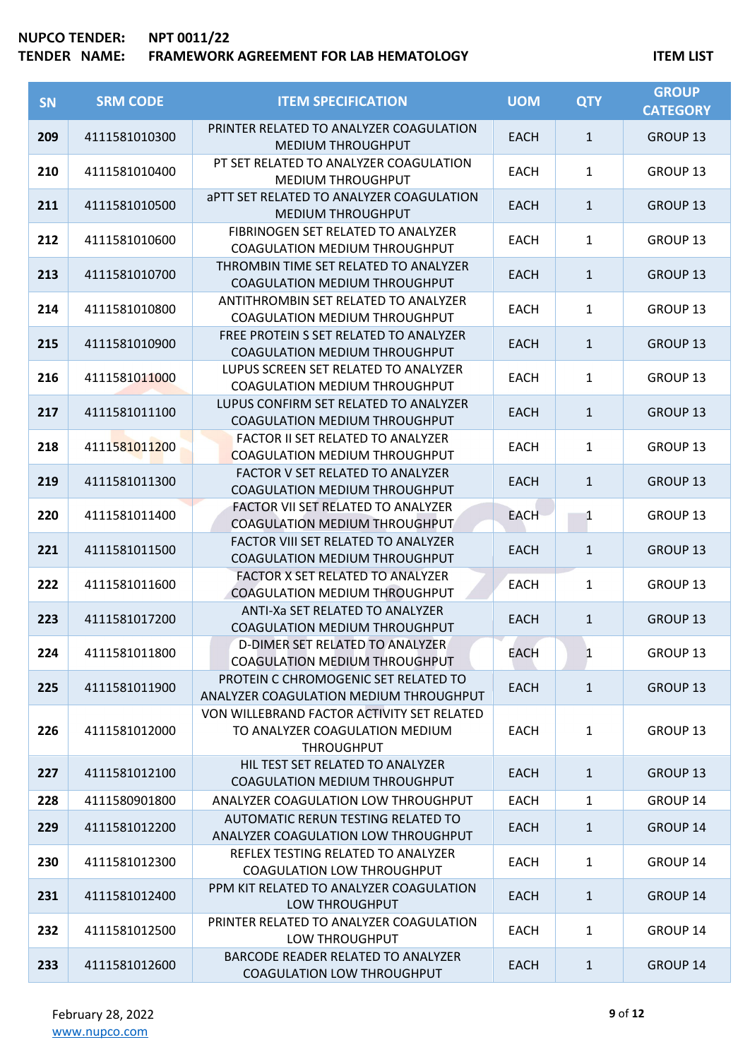| <b>SN</b> | <b>SRM CODE</b> | <b>ITEM SPECIFICATION</b>                                                                         | <b>UOM</b>  | <b>QTY</b>   | <b>GROUP</b><br><b>CATEGORY</b> |
|-----------|-----------------|---------------------------------------------------------------------------------------------------|-------------|--------------|---------------------------------|
| 209       | 4111581010300   | PRINTER RELATED TO ANALYZER COAGULATION<br><b>MEDIUM THROUGHPUT</b>                               | <b>EACH</b> | $\mathbf{1}$ | GROUP 13                        |
| 210       | 4111581010400   | PT SET RELATED TO ANALYZER COAGULATION<br><b>MEDIUM THROUGHPUT</b>                                | <b>EACH</b> | $\mathbf{1}$ | GROUP <sub>13</sub>             |
| 211       | 4111581010500   | <b>aPTT SET RELATED TO ANALYZER COAGULATION</b><br><b>MEDIUM THROUGHPUT</b>                       | <b>EACH</b> | $\mathbf{1}$ | GROUP <sub>13</sub>             |
| 212       | 4111581010600   | FIBRINOGEN SET RELATED TO ANALYZER<br><b>COAGULATION MEDIUM THROUGHPUT</b>                        | <b>EACH</b> | $\mathbf{1}$ | GROUP 13                        |
| 213       | 4111581010700   | THROMBIN TIME SET RELATED TO ANALYZER<br>COAGULATION MEDIUM THROUGHPUT                            | <b>EACH</b> | $\mathbf{1}$ | <b>GROUP 13</b>                 |
| 214       | 4111581010800   | ANTITHROMBIN SET RELATED TO ANALYZER<br><b>COAGULATION MEDIUM THROUGHPUT</b>                      | <b>EACH</b> | $\mathbf{1}$ | GROUP 13                        |
| 215       | 4111581010900   | FREE PROTEIN S SET RELATED TO ANALYZER<br>COAGULATION MEDIUM THROUGHPUT                           | <b>EACH</b> | $\mathbf{1}$ | GROUP <sub>13</sub>             |
| 216       | 4111581011000   | LUPUS SCREEN SET RELATED TO ANALYZER<br>COAGULATION MEDIUM THROUGHPUT                             | <b>EACH</b> | $\mathbf{1}$ | GROUP <sub>13</sub>             |
| 217       | 4111581011100   | LUPUS CONFIRM SET RELATED TO ANALYZER<br>COAGULATION MEDIUM THROUGHPUT                            | <b>EACH</b> | $\mathbf{1}$ | GROUP 13                        |
| 218       | 4111581011200   | <b>FACTOR II SET RELATED TO ANALYZER</b><br><b>COAGULATION MEDIUM THROUGHPUT</b>                  | <b>EACH</b> | $\mathbf{1}$ | GROUP 13                        |
| 219       | 4111581011300   | FACTOR V SET RELATED TO ANALYZER<br>COAGULATION MEDIUM THROUGHPUT                                 | <b>EACH</b> | $\mathbf{1}$ | GROUP <sub>13</sub>             |
| 220       | 4111581011400   | FACTOR VII SET RELATED TO ANALYZER<br>COAGULATION MEDIUM THROUGHPUT                               | <b>EACH</b> | 1            | GROUP 13                        |
| 221       | 4111581011500   | FACTOR VIII SET RELATED TO ANALYZER<br>COAGULATION MEDIUM THROUGHPUT                              | <b>EACH</b> | $\mathbf{1}$ | GROUP 13                        |
| 222       | 4111581011600   | <b>FACTOR X SET RELATED TO ANALYZER</b><br>COAGULATION MEDIUM THROUGHPUT                          | <b>EACH</b> | $\mathbf{1}$ | GROUP 13                        |
| 223       | 4111581017200   | ANTI-Xa SET RELATED TO ANALYZER<br>COAGULATION MEDIUM THROUGHPUT                                  | <b>EACH</b> | $\mathbf{1}$ | GROUP <sub>13</sub>             |
| 224       | 4111581011800   | D-DIMER SET RELATED TO ANALYZER<br>COAGULATION MEDIUM THROUGHPUT                                  | EACH        | $\mathbf{1}$ | GROUP 13                        |
| 225       | 4111581011900   | PROTEIN C CHROMOGENIC SET RELATED TO<br>ANALYZER COAGULATION MEDIUM THROUGHPUT                    | <b>EACH</b> | $\mathbf{1}$ | <b>GROUP 13</b>                 |
| 226       | 4111581012000   | VON WILLEBRAND FACTOR ACTIVITY SET RELATED<br>TO ANALYZER COAGULATION MEDIUM<br><b>THROUGHPUT</b> | <b>EACH</b> | $\mathbf{1}$ | GROUP 13                        |
| 227       | 4111581012100   | HIL TEST SET RELATED TO ANALYZER<br>COAGULATION MEDIUM THROUGHPUT                                 | <b>EACH</b> | $\mathbf{1}$ | <b>GROUP 13</b>                 |
| 228       | 4111580901800   | ANALYZER COAGULATION LOW THROUGHPUT                                                               | <b>EACH</b> | $\mathbf{1}$ | GROUP 14                        |
| 229       | 4111581012200   | AUTOMATIC RERUN TESTING RELATED TO<br>ANALYZER COAGULATION LOW THROUGHPUT                         | <b>EACH</b> | $\mathbf{1}$ | GROUP 14                        |
| 230       | 4111581012300   | REFLEX TESTING RELATED TO ANALYZER<br>COAGULATION LOW THROUGHPUT                                  | <b>EACH</b> | $\mathbf{1}$ | GROUP 14                        |
| 231       | 4111581012400   | PPM KIT RELATED TO ANALYZER COAGULATION<br>LOW THROUGHPUT                                         | <b>EACH</b> | $\mathbf{1}$ | GROUP 14                        |
| 232       | 4111581012500   | PRINTER RELATED TO ANALYZER COAGULATION<br>LOW THROUGHPUT                                         | EACH        | $\mathbf{1}$ | GROUP 14                        |
| 233       | 4111581012600   | BARCODE READER RELATED TO ANALYZER<br>COAGULATION LOW THROUGHPUT                                  | <b>EACH</b> | $\mathbf{1}$ | GROUP 14                        |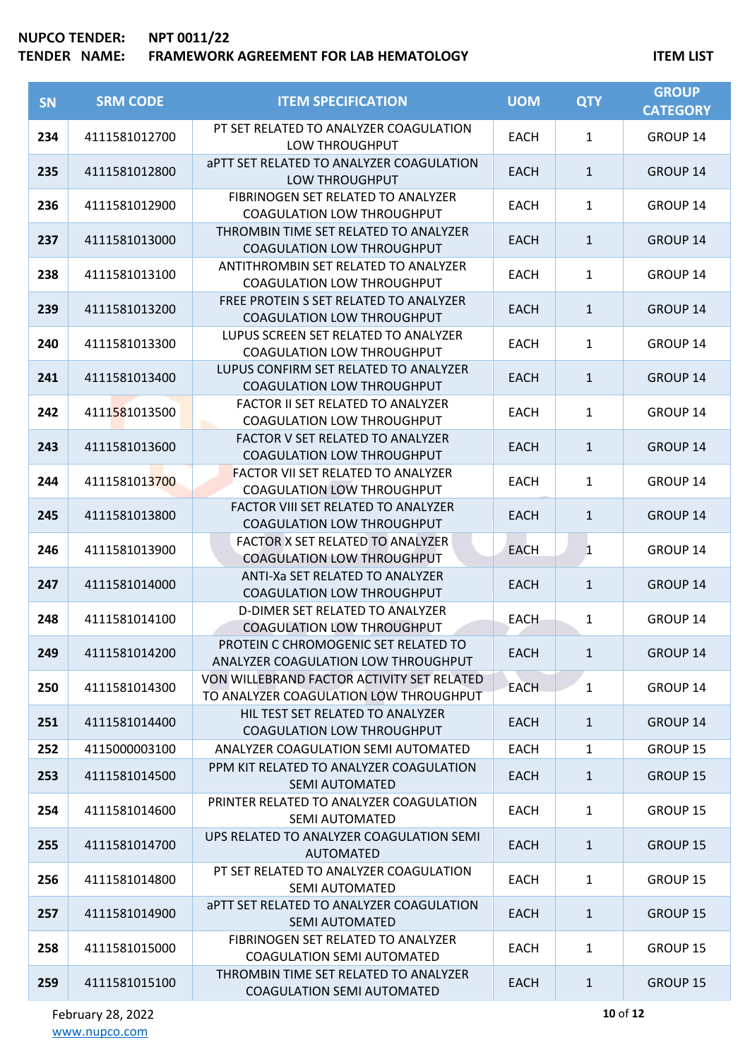| <b>SN</b> | <b>SRM CODE</b> | <b>ITEM SPECIFICATION</b>                                                            | <b>UOM</b>  | <b>QTY</b>   | <b>GROUP</b><br><b>CATEGORY</b> |
|-----------|-----------------|--------------------------------------------------------------------------------------|-------------|--------------|---------------------------------|
| 234       | 4111581012700   | PT SET RELATED TO ANALYZER COAGULATION<br>LOW THROUGHPUT                             | EACH        | $\mathbf{1}$ | GROUP 14                        |
| 235       | 4111581012800   | <b>APTT SET RELATED TO ANALYZER COAGULATION</b><br>LOW THROUGHPUT                    | <b>EACH</b> | $\mathbf{1}$ | <b>GROUP 14</b>                 |
| 236       | 4111581012900   | FIBRINOGEN SET RELATED TO ANALYZER<br><b>COAGULATION LOW THROUGHPUT</b>              | <b>EACH</b> | $\mathbf{1}$ | GROUP 14                        |
| 237       | 4111581013000   | THROMBIN TIME SET RELATED TO ANALYZER<br><b>COAGULATION LOW THROUGHPUT</b>           | <b>EACH</b> | $\mathbf{1}$ | <b>GROUP 14</b>                 |
| 238       | 4111581013100   | ANTITHROMBIN SET RELATED TO ANALYZER<br><b>COAGULATION LOW THROUGHPUT</b>            | EACH        | $\mathbf{1}$ | GROUP 14                        |
| 239       | 4111581013200   | FREE PROTEIN S SET RELATED TO ANALYZER<br><b>COAGULATION LOW THROUGHPUT</b>          | <b>EACH</b> | $\mathbf{1}$ | <b>GROUP 14</b>                 |
| 240       | 4111581013300   | LUPUS SCREEN SET RELATED TO ANALYZER<br><b>COAGULATION LOW THROUGHPUT</b>            | <b>EACH</b> | $\mathbf{1}$ | GROUP 14                        |
| 241       | 4111581013400   | LUPUS CONFIRM SET RELATED TO ANALYZER<br><b>COAGULATION LOW THROUGHPUT</b>           | <b>EACH</b> | $\mathbf{1}$ | <b>GROUP 14</b>                 |
| 242       | 4111581013500   | FACTOR II SET RELATED TO ANALYZER<br><b>COAGULATION LOW THROUGHPUT</b>               | <b>EACH</b> | $\mathbf{1}$ | GROUP 14                        |
| 243       | 4111581013600   | <b>FACTOR V SET RELATED TO ANALYZER</b><br>COAGULATION LOW THROUGHPUT                | <b>EACH</b> | $\mathbf{1}$ | <b>GROUP 14</b>                 |
| 244       | 4111581013700   | <b>FACTOR VII SET RELATED TO ANALYZER</b><br><b>COAGULATION LOW THROUGHPUT</b>       | <b>EACH</b> | $\mathbf{1}$ | GROUP 14                        |
| 245       | 4111581013800   | FACTOR VIII SET RELATED TO ANALYZER<br><b>COAGULATION LOW THROUGHPUT</b>             | <b>EACH</b> | $\mathbf{1}$ | <b>GROUP 14</b>                 |
| 246       | 4111581013900   | FACTOR X SET RELATED TO ANALYZER<br><b>COAGULATION LOW THROUGHPUT</b>                | <b>EACH</b> | $\mathbf{1}$ | GROUP 14                        |
| 247       | 4111581014000   | <b>ANTI-Xa SET RELATED TO ANALYZER</b><br><b>COAGULATION LOW THROUGHPUT</b>          | <b>EACH</b> | $\mathbf{1}$ | <b>GROUP 14</b>                 |
| 248       | 4111581014100   | D-DIMER SET RELATED TO ANALYZER<br><b>COAGULATION LOW THROUGHPUT</b>                 | <b>EACH</b> | 1            | GROUP 14                        |
| 249       | 4111581014200   | PROTEIN C CHROMOGENIC SET RELATED TO<br>ANALYZER COAGULATION LOW THROUGHPUT          | <b>EACH</b> | $\mathbf{1}$ | GROUP 14                        |
| 250       | 4111581014300   | VON WILLEBRAND FACTOR ACTIVITY SET RELATED<br>TO ANALYZER COAGULATION LOW THROUGHPUT | <b>EACH</b> | $\mathbf{1}$ | GROUP 14                        |
| 251       | 4111581014400   | HIL TEST SET RELATED TO ANALYZER<br>COAGULATION LOW THROUGHPUT                       | <b>EACH</b> | $\mathbf{1}$ | <b>GROUP 14</b>                 |
| 252       | 4115000003100   | ANALYZER COAGULATION SEMI AUTOMATED                                                  | <b>EACH</b> | $\mathbf{1}$ | GROUP 15                        |
| 253       | 4111581014500   | PPM KIT RELATED TO ANALYZER COAGULATION<br><b>SEMI AUTOMATED</b>                     | EACH        | $\mathbf{1}$ | <b>GROUP 15</b>                 |
| 254       | 4111581014600   | PRINTER RELATED TO ANALYZER COAGULATION<br><b>SEMI AUTOMATED</b>                     | EACH        | $\mathbf{1}$ | GROUP 15                        |
| 255       | 4111581014700   | UPS RELATED TO ANALYZER COAGULATION SEMI<br><b>AUTOMATED</b>                         | <b>EACH</b> | $\mathbf{1}$ | <b>GROUP 15</b>                 |
| 256       | 4111581014800   | PT SET RELATED TO ANALYZER COAGULATION<br><b>SEMI AUTOMATED</b>                      | EACH        | $\mathbf{1}$ | GROUP 15                        |
| 257       | 4111581014900   | <b>APTT SET RELATED TO ANALYZER COAGULATION</b><br><b>SEMI AUTOMATED</b>             | EACH        | $\mathbf{1}$ | <b>GROUP 15</b>                 |
| 258       | 4111581015000   | FIBRINOGEN SET RELATED TO ANALYZER<br><b>COAGULATION SEMI AUTOMATED</b>              | EACH        | $\mathbf{1}$ | GROUP 15                        |
| 259       | 4111581015100   | THROMBIN TIME SET RELATED TO ANALYZER<br>COAGULATION SEMI AUTOMATED                  | <b>EACH</b> | $\mathbf{1}$ | <b>GROUP 15</b>                 |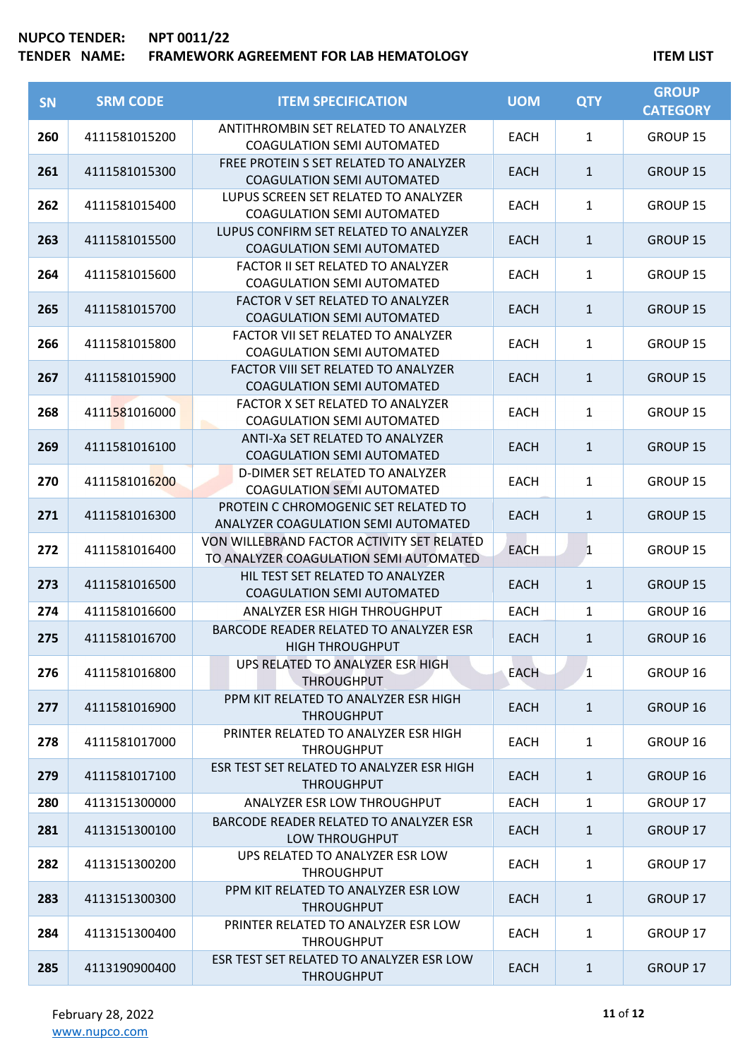| <b>SN</b> | <b>SRM CODE</b> | <b>ITEM SPECIFICATION</b>                                                            | <b>UOM</b>  | <b>QTY</b>   | <b>GROUP</b><br><b>CATEGORY</b> |
|-----------|-----------------|--------------------------------------------------------------------------------------|-------------|--------------|---------------------------------|
| 260       | 4111581015200   | ANTITHROMBIN SET RELATED TO ANALYZER<br><b>COAGULATION SEMI AUTOMATED</b>            | <b>EACH</b> | $\mathbf{1}$ | GROUP 15                        |
| 261       | 4111581015300   | FREE PROTEIN S SET RELATED TO ANALYZER<br><b>COAGULATION SEMI AUTOMATED</b>          | <b>EACH</b> | $\mathbf{1}$ | <b>GROUP 15</b>                 |
| 262       | 4111581015400   | LUPUS SCREEN SET RELATED TO ANALYZER<br><b>COAGULATION SEMI AUTOMATED</b>            | <b>EACH</b> | $\mathbf{1}$ | GROUP 15                        |
| 263       | 4111581015500   | LUPUS CONFIRM SET RELATED TO ANALYZER<br><b>COAGULATION SEMI AUTOMATED</b>           | <b>EACH</b> | $\mathbf{1}$ | <b>GROUP 15</b>                 |
| 264       | 4111581015600   | FACTOR II SET RELATED TO ANALYZER<br><b>COAGULATION SEMI AUTOMATED</b>               | <b>EACH</b> | 1            | GROUP 15                        |
| 265       | 4111581015700   | FACTOR V SET RELATED TO ANALYZER<br><b>COAGULATION SEMI AUTOMATED</b>                | <b>EACH</b> | $\mathbf{1}$ | <b>GROUP 15</b>                 |
| 266       | 4111581015800   | FACTOR VII SET RELATED TO ANALYZER<br><b>COAGULATION SEMI AUTOMATED</b>              | <b>EACH</b> | $\mathbf{1}$ | GROUP 15                        |
| 267       | 4111581015900   | FACTOR VIII SET RELATED TO ANALYZER<br><b>COAGULATION SEMI AUTOMATED</b>             | <b>EACH</b> | $\mathbf{1}$ | <b>GROUP 15</b>                 |
| 268       | 4111581016000   | FACTOR X SET RELATED TO ANALYZER<br><b>COAGULATION SEMI AUTOMATED</b>                | EACH        | $\mathbf{1}$ | GROUP 15                        |
| 269       | 4111581016100   | ANTI-Xa SET RELATED TO ANALYZER<br><b>COAGULATION SEMI AUTOMATED</b>                 | <b>EACH</b> | $\mathbf{1}$ | <b>GROUP 15</b>                 |
| 270       | 4111581016200   | D-DIMER SET RELATED TO ANALYZER<br><b>COAGULATION SEMI AUTOMATED</b>                 | <b>EACH</b> | $\mathbf{1}$ | GROUP 15                        |
| 271       | 4111581016300   | PROTEIN C CHROMOGENIC SET RELATED TO<br>ANALYZER COAGULATION SEMI AUTOMATED          | <b>EACH</b> | $\mathbf{1}$ | <b>GROUP 15</b>                 |
| 272       | 4111581016400   | VON WILLEBRAND FACTOR ACTIVITY SET RELATED<br>TO ANALYZER COAGULATION SEMI AUTOMATED | <b>EACH</b> | 1            | GROUP 15                        |
| 273       | 4111581016500   | HIL TEST SET RELATED TO ANALYZER<br><b>COAGULATION SEMI AUTOMATED</b>                | <b>EACH</b> | $\mathbf{1}$ | <b>GROUP 15</b>                 |
| 274       | 4111581016600   | ANALYZER ESR HIGH THROUGHPUT                                                         | <b>EACH</b> | 1            | GROUP 16                        |
| 275       | 4111581016700   | BARCODE READER RELATED TO ANALYZER ESR<br><b>HIGH THROUGHPUT</b>                     | <b>EACH</b> | $\mathbf{1}$ | GROUP 16                        |
| 276       | 4111581016800   | UPS RELATED TO ANALYZER ESR HIGH<br><b>THROUGHPUT</b>                                | <b>EACH</b> | $\mathbf{1}$ | GROUP 16                        |
| 277       | 4111581016900   | PPM KIT RELATED TO ANALYZER ESR HIGH<br><b>THROUGHPUT</b>                            | <b>EACH</b> | $\mathbf{1}$ | GROUP 16                        |
| 278       | 4111581017000   | PRINTER RELATED TO ANALYZER ESR HIGH<br><b>THROUGHPUT</b>                            | <b>EACH</b> | $\mathbf{1}$ | GROUP 16                        |
| 279       | 4111581017100   | ESR TEST SET RELATED TO ANALYZER ESR HIGH<br><b>THROUGHPUT</b>                       | <b>EACH</b> | $\mathbf{1}$ | GROUP 16                        |
| 280       | 4113151300000   | ANALYZER ESR LOW THROUGHPUT                                                          | <b>EACH</b> | 1            | GROUP 17                        |
| 281       | 4113151300100   | BARCODE READER RELATED TO ANALYZER ESR<br>LOW THROUGHPUT                             | <b>EACH</b> | 1            | GROUP 17                        |
| 282       | 4113151300200   | UPS RELATED TO ANALYZER ESR LOW<br><b>THROUGHPUT</b>                                 | <b>EACH</b> | $\mathbf{1}$ | GROUP 17                        |
| 283       | 4113151300300   | PPM KIT RELATED TO ANALYZER ESR LOW<br><b>THROUGHPUT</b>                             | <b>EACH</b> | $\mathbf{1}$ | GROUP 17                        |
| 284       | 4113151300400   | PRINTER RELATED TO ANALYZER ESR LOW<br><b>THROUGHPUT</b>                             | <b>EACH</b> | $\mathbf{1}$ | GROUP 17                        |
| 285       | 4113190900400   | ESR TEST SET RELATED TO ANALYZER ESR LOW<br><b>THROUGHPUT</b>                        | EACH        | $\mathbf{1}$ | GROUP 17                        |